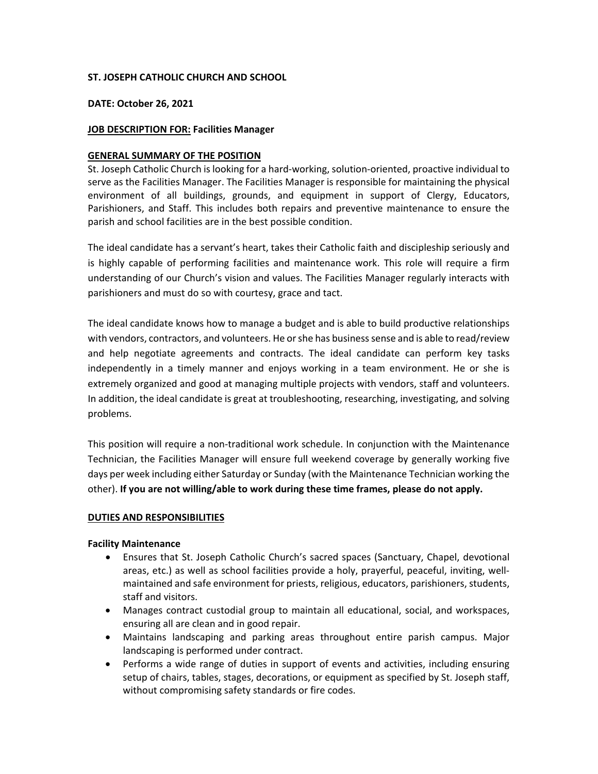## **ST. JOSEPH CATHOLIC CHURCH AND SCHOOL**

## **DATE: October 26, 2021**

## **JOB DESCRIPTION FOR: Facilities Manager**

#### **GENERAL SUMMARY OF THE POSITION**

St. Joseph Catholic Church is looking for a hard-working, solution-oriented, proactive individual to serve as the Facilities Manager. The Facilities Manager is responsible for maintaining the physical environment of all buildings, grounds, and equipment in support of Clergy, Educators, Parishioners, and Staff. This includes both repairs and preventive maintenance to ensure the parish and school facilities are in the best possible condition.

The ideal candidate has a servant's heart, takes their Catholic faith and discipleship seriously and is highly capable of performing facilities and maintenance work. This role will require a firm understanding of our Church's vision and values. The Facilities Manager regularly interacts with parishioners and must do so with courtesy, grace and tact.

The ideal candidate knows how to manage a budget and is able to build productive relationships with vendors, contractors, and volunteers. He or she has business sense and is able to read/review and help negotiate agreements and contracts. The ideal candidate can perform key tasks independently in a timely manner and enjoys working in a team environment. He or she is extremely organized and good at managing multiple projects with vendors, staff and volunteers. In addition, the ideal candidate is great at troubleshooting, researching, investigating, and solving problems.

This position will require a non-traditional work schedule. In conjunction with the Maintenance Technician, the Facilities Manager will ensure full weekend coverage by generally working five days per week including either Saturday or Sunday (with the Maintenance Technician working the other). **If you are not willing/able to work during these time frames, please do not apply.**

## **DUTIES AND RESPONSIBILITIES**

#### **Facility Maintenance**

- Ensures that St. Joseph Catholic Church's sacred spaces (Sanctuary, Chapel, devotional areas, etc.) as well as school facilities provide a holy, prayerful, peaceful, inviting, wellmaintained and safe environment for priests, religious, educators, parishioners, students, staff and visitors.
- Manages contract custodial group to maintain all educational, social, and workspaces, ensuring all are clean and in good repair.
- Maintains landscaping and parking areas throughout entire parish campus. Major landscaping is performed under contract.
- Performs a wide range of duties in support of events and activities, including ensuring setup of chairs, tables, stages, decorations, or equipment as specified by St. Joseph staff, without compromising safety standards or fire codes.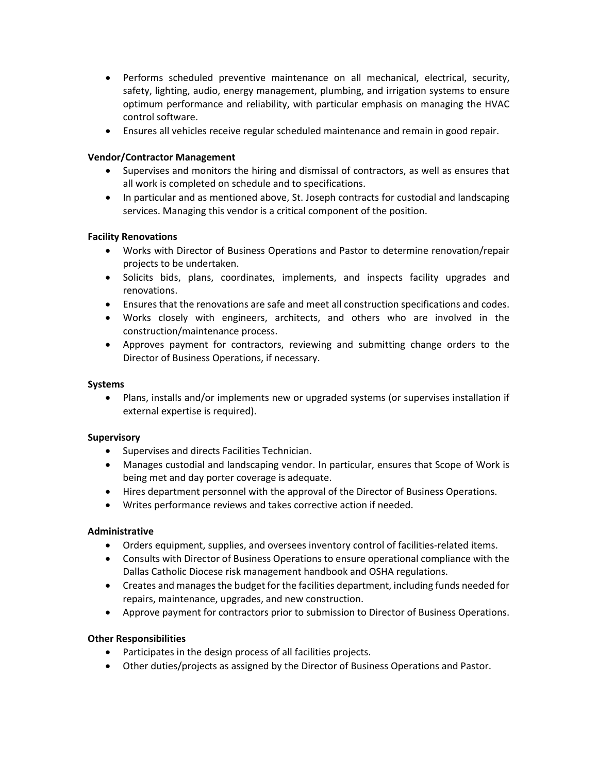- Performs scheduled preventive maintenance on all mechanical, electrical, security, safety, lighting, audio, energy management, plumbing, and irrigation systems to ensure optimum performance and reliability, with particular emphasis on managing the HVAC control software.
- Ensures all vehicles receive regular scheduled maintenance and remain in good repair.

## **Vendor/Contractor Management**

- Supervises and monitors the hiring and dismissal of contractors, as well as ensures that all work is completed on schedule and to specifications.
- In particular and as mentioned above, St. Joseph contracts for custodial and landscaping services. Managing this vendor is a critical component of the position.

## **Facility Renovations**

- Works with Director of Business Operations and Pastor to determine renovation/repair projects to be undertaken.
- Solicits bids, plans, coordinates, implements, and inspects facility upgrades and renovations.
- Ensures that the renovations are safe and meet all construction specifications and codes.
- Works closely with engineers, architects, and others who are involved in the construction/maintenance process.
- Approves payment for contractors, reviewing and submitting change orders to the Director of Business Operations, if necessary.

## **Systems**

• Plans, installs and/or implements new or upgraded systems (or supervises installation if external expertise is required).

#### **Supervisory**

- Supervises and directs Facilities Technician.
- Manages custodial and landscaping vendor. In particular, ensures that Scope of Work is being met and day porter coverage is adequate.
- Hires department personnel with the approval of the Director of Business Operations.
- Writes performance reviews and takes corrective action if needed.

## **Administrative**

- Orders equipment, supplies, and oversees inventory control of facilities-related items.
- Consults with Director of Business Operations to ensure operational compliance with the Dallas Catholic Diocese risk management handbook and OSHA regulations.
- Creates and manages the budget for the facilities department, including funds needed for repairs, maintenance, upgrades, and new construction.
- Approve payment for contractors prior to submission to Director of Business Operations.

## **Other Responsibilities**

- Participates in the design process of all facilities projects.
- Other duties/projects as assigned by the Director of Business Operations and Pastor.